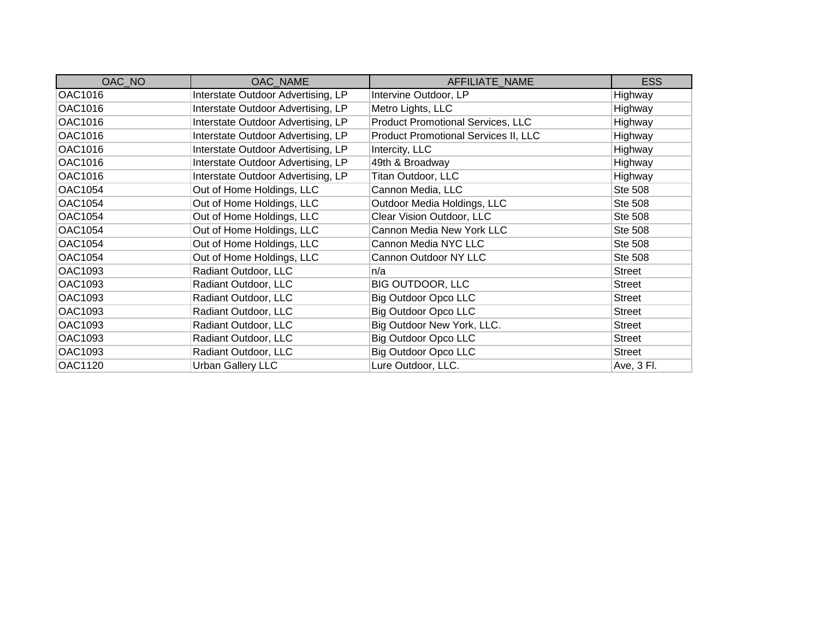| OAC_NO         | OAC_NAME                           | AFFILIATE_NAME                           | <b>ESS</b>     |
|----------------|------------------------------------|------------------------------------------|----------------|
| OAC1016        | Interstate Outdoor Advertising, LP | Intervine Outdoor, LP                    | Highway        |
| OAC1016        | Interstate Outdoor Advertising, LP | Metro Lights, LLC                        | Highway        |
| OAC1016        | Interstate Outdoor Advertising, LP | <b>Product Promotional Services, LLC</b> | Highway        |
| OAC1016        | Interstate Outdoor Advertising, LP | Product Promotional Services II, LLC     | Highway        |
| OAC1016        | Interstate Outdoor Advertising, LP | Intercity, LLC                           | Highway        |
| OAC1016        | Interstate Outdoor Advertising, LP | 49th & Broadway                          | Highway        |
| OAC1016        | Interstate Outdoor Advertising, LP | Titan Outdoor, LLC                       | Highway        |
| OAC1054        | Out of Home Holdings, LLC          | Cannon Media, LLC                        | Ste 508        |
| OAC1054        | Out of Home Holdings, LLC          | Outdoor Media Holdings, LLC              | <b>Ste 508</b> |
| OAC1054        | Out of Home Holdings, LLC          | Clear Vision Outdoor, LLC                | Ste 508        |
| OAC1054        | Out of Home Holdings, LLC          | Cannon Media New York LLC                | <b>Ste 508</b> |
| OAC1054        | Out of Home Holdings, LLC          | Cannon Media NYC LLC                     | Ste 508        |
| OAC1054        | Out of Home Holdings, LLC          | Cannon Outdoor NY LLC                    | <b>Ste 508</b> |
| OAC1093        | Radiant Outdoor, LLC               | n/a                                      | <b>Street</b>  |
| OAC1093        | Radiant Outdoor, LLC               | <b>BIG OUTDOOR, LLC</b>                  | <b>Street</b>  |
| OAC1093        | Radiant Outdoor, LLC               | <b>Big Outdoor Opco LLC</b>              | <b>Street</b>  |
| OAC1093        | Radiant Outdoor, LLC               | <b>Big Outdoor Opco LLC</b>              | <b>Street</b>  |
| OAC1093        | Radiant Outdoor, LLC               | Big Outdoor New York, LLC.               | <b>Street</b>  |
| OAC1093        | Radiant Outdoor, LLC               | <b>Big Outdoor Opco LLC</b>              | <b>Street</b>  |
| OAC1093        | Radiant Outdoor, LLC               | <b>Big Outdoor Opco LLC</b>              | <b>Street</b>  |
| <b>OAC1120</b> | <b>Urban Gallery LLC</b>           | Lure Outdoor, LLC.                       | Ave, 3 Fl.     |